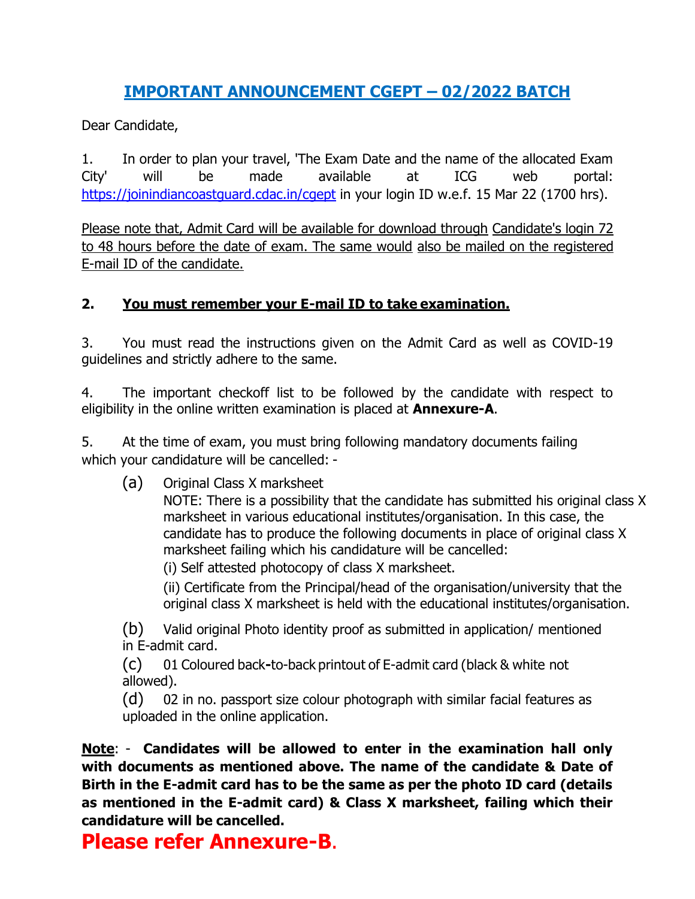# **IMPORTANT ANNOUNCEMENT CGEPT – 02/2022 BATCH**

Dear Candidate,

1. In order to plan your travel, 'The Exam Date and the name of the allocated Exam City' will be made available at ICG web portal: <https://joinindiancoastguard.cdac.in/cgept> in your login ID w.e.f. 15 Mar 22 (1700 hrs).

Please note that, Admit Card will be available for download through Candidate's login 72 to 48 hours before the date of exam. The same would also be mailed on the registered E-mail ID of the candidate.

### **2. You must remember your E-mail ID to take examination.**

3. You must read the instructions given on the Admit Card as well as COVID-19 guidelines and strictly adhere to the same.

4. The important checkoff list to be followed by the candidate with respect to eligibility in the online written examination is placed at **Annexure-A**.

5. At the time of exam, you must bring following mandatory documents failing which your candidature will be cancelled: -

(a) Original Class X marksheet

NOTE: There is a possibility that the candidate has submitted his original class X marksheet in various educational institutes/organisation. In this case, the candidate has to produce the following documents in place of original class X marksheet failing which his candidature will be cancelled:

(i) Self attested photocopy of class X marksheet.

(ii) Certificate from the Principal/head of the organisation/university that the original class X marksheet is held with the educational institutes/organisation.

(b) Valid original Photo identity proof as submitted in application/ mentioned in E-admit card.

(c) 01 Coloured back**-**to-back printout of E-admit card (black & white not allowed).

(d) 02 in no. passport size colour photograph with similar facial features as uploaded in the online application.

**Note**: - **Candidates will be allowed to enter in the examination hall only with documents as mentioned above. The name of the candidate & Date of Birth in the E-admit card has to be the same as per the photo ID card (details as mentioned in the E-admit card) & Class X marksheet, failing which their candidature will be cancelled.**

# **Please refer Annexure-B**.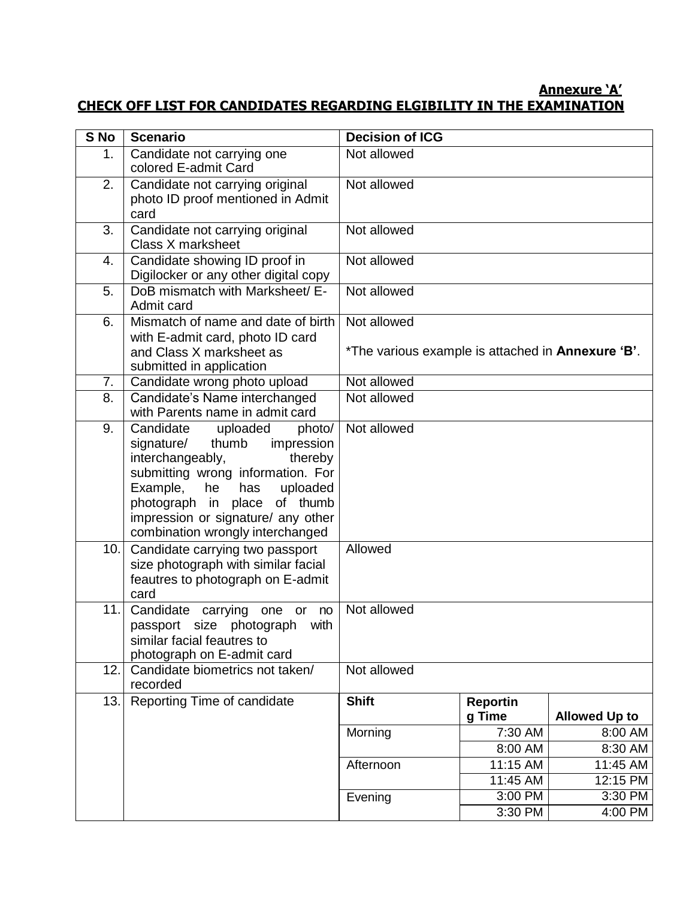#### **Annexure 'A' CHECK OFF LIST FOR CANDIDATES REGARDING ELGIBILITY IN THE EXAMINATION**

| S No             | <b>Scenario</b>                                                                                                                                                                                                                                                                         | <b>Decision of ICG</b>                                                   |                           |                       |  |  |
|------------------|-----------------------------------------------------------------------------------------------------------------------------------------------------------------------------------------------------------------------------------------------------------------------------------------|--------------------------------------------------------------------------|---------------------------|-----------------------|--|--|
| 1.               | Candidate not carrying one<br>colored E-admit Card                                                                                                                                                                                                                                      | Not allowed                                                              |                           |                       |  |  |
| 2.               | Candidate not carrying original<br>photo ID proof mentioned in Admit<br>card                                                                                                                                                                                                            | Not allowed                                                              |                           |                       |  |  |
| 3.               | Candidate not carrying original<br><b>Class X marksheet</b>                                                                                                                                                                                                                             | Not allowed                                                              |                           |                       |  |  |
| 4.               | Candidate showing ID proof in<br>Digilocker or any other digital copy                                                                                                                                                                                                                   | Not allowed                                                              |                           |                       |  |  |
| 5.               | DoB mismatch with Marksheet/ E-<br>Admit card                                                                                                                                                                                                                                           | Not allowed                                                              |                           |                       |  |  |
| 6.               | Mismatch of name and date of birth<br>with E-admit card, photo ID card<br>and Class X marksheet as<br>submitted in application                                                                                                                                                          | Not allowed<br>*The various example is attached in <b>Annexure 'B'</b> . |                           |                       |  |  |
| $\overline{7}$ . | Candidate wrong photo upload                                                                                                                                                                                                                                                            | Not allowed                                                              |                           |                       |  |  |
| 8.               | Candidate's Name interchanged<br>with Parents name in admit card                                                                                                                                                                                                                        | Not allowed                                                              |                           |                       |  |  |
| 9.               | Candidate<br>uploaded<br>photo/<br>thumb<br>impression<br>signature/<br>interchangeably,<br>thereby<br>submitting wrong information. For<br>Example,<br>uploaded<br>has<br>he<br>photograph in place of thumb<br>impression or signature/ any other<br>combination wrongly interchanged | Not allowed                                                              |                           |                       |  |  |
| 10.              | Candidate carrying two passport<br>size photograph with similar facial<br>feautres to photograph on E-admit<br>card                                                                                                                                                                     | Allowed                                                                  |                           |                       |  |  |
| 11.              | Candidate carrying one<br>no<br>or<br>with<br>passport size photograph<br>similar facial feautres to<br>photograph on E-admit card                                                                                                                                                      | Not allowed                                                              |                           |                       |  |  |
| 12.              | Candidate biometrics not taken/<br>recorded                                                                                                                                                                                                                                             | Not allowed                                                              |                           |                       |  |  |
| 13.              | Reporting Time of candidate                                                                                                                                                                                                                                                             | <b>Shift</b>                                                             | <b>Reportin</b><br>g Time | <b>Allowed Up to</b>  |  |  |
|                  |                                                                                                                                                                                                                                                                                         | Morning                                                                  | 7:30 AM                   | 8:00 AM               |  |  |
|                  |                                                                                                                                                                                                                                                                                         |                                                                          | 8:00 AM                   | 8:30 AM               |  |  |
|                  |                                                                                                                                                                                                                                                                                         | Afternoon                                                                | 11:15 AM                  | 11:45 AM              |  |  |
|                  |                                                                                                                                                                                                                                                                                         |                                                                          | 11:45 AM                  | $\overline{12:15}$ PM |  |  |
|                  |                                                                                                                                                                                                                                                                                         | Evening                                                                  | 3:00 PM                   | 3:30 PM               |  |  |
|                  |                                                                                                                                                                                                                                                                                         |                                                                          | 3:30 PM                   | 4:00 PM               |  |  |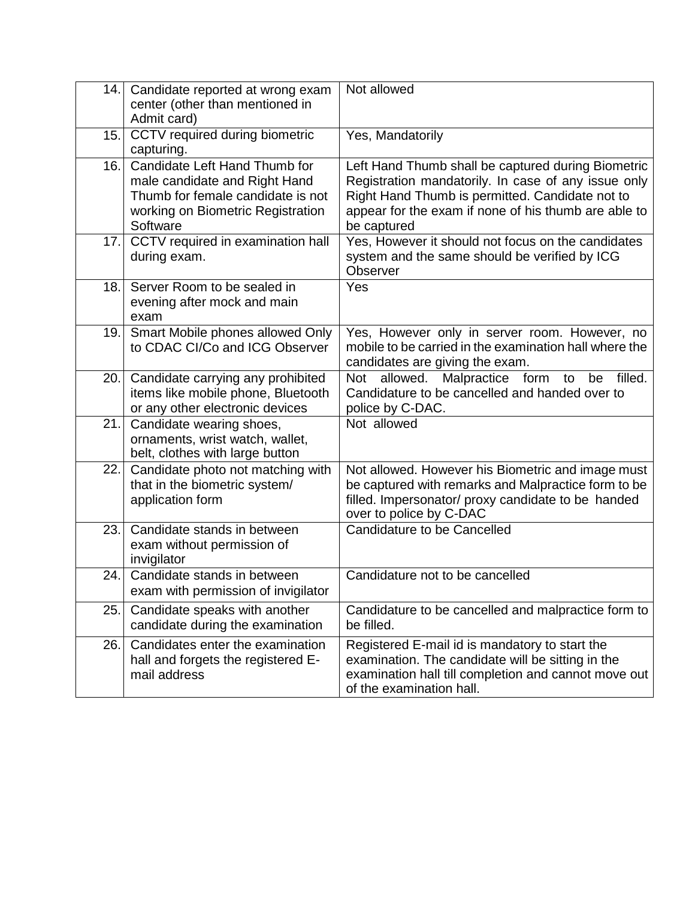| 14. | Candidate reported at wrong exam<br>center (other than mentioned in<br>Admit card)                                                                   | Not allowed                                                                                                                                                                                                                         |
|-----|------------------------------------------------------------------------------------------------------------------------------------------------------|-------------------------------------------------------------------------------------------------------------------------------------------------------------------------------------------------------------------------------------|
| 15. | CCTV required during biometric<br>capturing.                                                                                                         | Yes, Mandatorily                                                                                                                                                                                                                    |
| 16. | Candidate Left Hand Thumb for<br>male candidate and Right Hand<br>Thumb for female candidate is not<br>working on Biometric Registration<br>Software | Left Hand Thumb shall be captured during Biometric<br>Registration mandatorily. In case of any issue only<br>Right Hand Thumb is permitted. Candidate not to<br>appear for the exam if none of his thumb are able to<br>be captured |
| 17. | CCTV required in examination hall<br>during exam.                                                                                                    | Yes, However it should not focus on the candidates<br>system and the same should be verified by ICG<br>Observer                                                                                                                     |
| 18. | Server Room to be sealed in<br>evening after mock and main<br>exam                                                                                   | Yes                                                                                                                                                                                                                                 |
| 19. | Smart Mobile phones allowed Only<br>to CDAC CI/Co and ICG Observer                                                                                   | Yes, However only in server room. However, no<br>mobile to be carried in the examination hall where the<br>candidates are giving the exam.                                                                                          |
| 20. | Candidate carrying any prohibited<br>items like mobile phone, Bluetooth<br>or any other electronic devices                                           | Not allowed. Malpractice form to<br>filled.<br>be<br>Candidature to be cancelled and handed over to<br>police by C-DAC.                                                                                                             |
| 21. | Candidate wearing shoes,<br>ornaments, wrist watch, wallet,<br>belt, clothes with large button                                                       | Not allowed                                                                                                                                                                                                                         |
| 22. | Candidate photo not matching with<br>that in the biometric system/<br>application form                                                               | Not allowed. However his Biometric and image must<br>be captured with remarks and Malpractice form to be<br>filled. Impersonator/ proxy candidate to be handed<br>over to police by C-DAC                                           |
| 23. | Candidate stands in between<br>exam without permission of<br>invigilator                                                                             | Candidature to be Cancelled                                                                                                                                                                                                         |
| 24. | Candidate stands in between<br>exam with permission of invigilator                                                                                   | Candidature not to be cancelled                                                                                                                                                                                                     |
| 25. | Candidate speaks with another<br>candidate during the examination                                                                                    | Candidature to be cancelled and malpractice form to<br>be filled.                                                                                                                                                                   |
| 26. | Candidates enter the examination<br>hall and forgets the registered E-<br>mail address                                                               | Registered E-mail id is mandatory to start the<br>examination. The candidate will be sitting in the<br>examination hall till completion and cannot move out<br>of the examination hall.                                             |